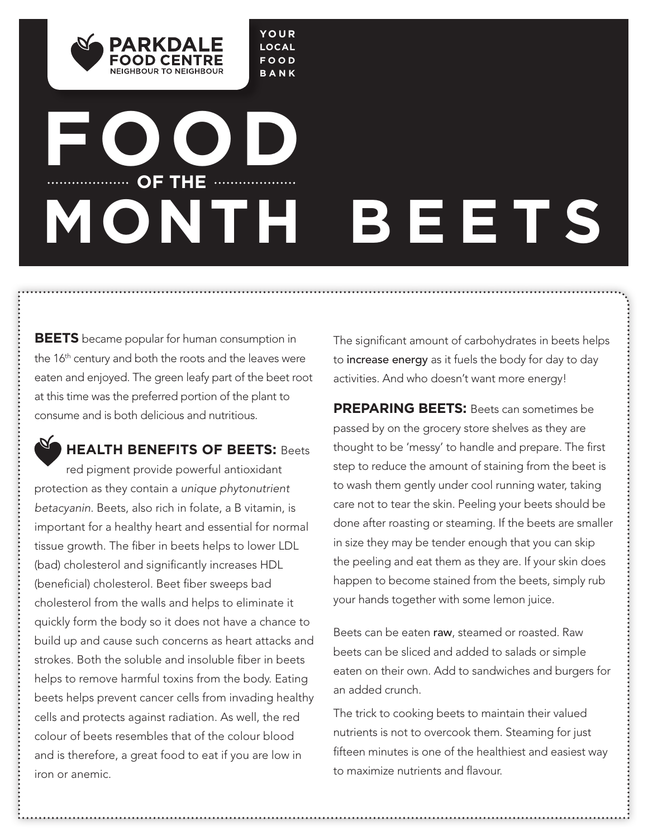

# **FOOD OF THE MONTH BEETS**

**YOUR LOCAL FOOD BANK**

**BEETS** became popular for human consumption in the 16<sup>th</sup> century and both the roots and the leaves were eaten and enjoyed. The green leafy part of the beet root at this time was the preferred portion of the plant to consume and is both delicious and nutritious.

## **HEALTH BENEFITS OF BEETS:** Beets

red pigment provide powerful antioxidant protection as they contain a *unique phytonutrient betacyanin*. Beets, also rich in folate, a B vitamin, is important for a healthy heart and essential for normal tissue growth. The fiber in beets helps to lower LDL (bad) cholesterol and significantly increases HDL (beneficial) cholesterol. Beet fiber sweeps bad cholesterol from the walls and helps to eliminate it quickly form the body so it does not have a chance to build up and cause such concerns as heart attacks and strokes. Both the soluble and insoluble fiber in beets helps to remove harmful toxins from the body. Eating beets helps prevent cancer cells from invading healthy cells and protects against radiation. As well, the red colour of beets resembles that of the colour blood and is therefore, a great food to eat if you are low in iron or anemic.

The significant amount of carbohydrates in beets helps to increase energy as it fuels the body for day to day activities. And who doesn't want more energy!

**PREPARING BEETS:** Beets can sometimes be passed by on the grocery store shelves as they are thought to be 'messy' to handle and prepare. The first step to reduce the amount of staining from the beet is to wash them gently under cool running water, taking care not to tear the skin. Peeling your beets should be done after roasting or steaming. If the beets are smaller in size they may be tender enough that you can skip the peeling and eat them as they are. If your skin does happen to become stained from the beets, simply rub your hands together with some lemon juice.

Beets can be eaten raw, steamed or roasted. Raw beets can be sliced and added to salads or simple eaten on their own. Add to sandwiches and burgers for an added crunch.

The trick to cooking beets to maintain their valued nutrients is not to overcook them. Steaming for just fifteen minutes is one of the healthiest and easiest way to maximize nutrients and flavour.